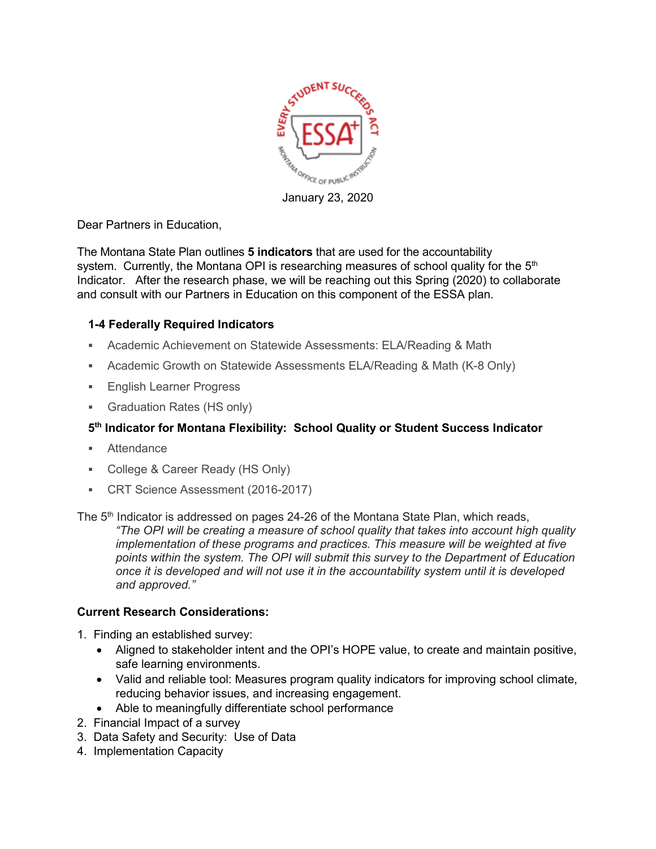

January 23, 2020

Dear Partners in Education,

The Montana State Plan outlines **5 indicators** that are used for the accountability system. Currently, the Montana OPI is researching measures of school quality for the  $5<sup>th</sup>$ Indicator. After the research phase, we will be reaching out this Spring (2020) to collaborate and consult with our Partners in Education on this component of the ESSA plan.

## **1-4 Federally Required Indicators**

- Academic Achievement on Statewide Assessments: ELA/Reading & Math
- Academic Growth on Statewide Assessments ELA/Reading & Math (K-8 Only)
- **English Learner Progress**
- Graduation Rates (HS only)

## **5th Indicator for Montana Flexibility: School Quality or Student Success Indicator**

- **Attendance**
- College & Career Ready (HS Only)
- CRT Science Assessment (2016-2017)

The 5<sup>th</sup> Indicator is addressed on pages 24-26 of the Montana State Plan, which reads, *"The OPI will be creating a measure of school quality that takes into account high quality implementation of these programs and practices. This measure will be weighted at five points within the system. The OPI will submit this survey to the Department of Education once it is developed and will not use it in the accountability system until it is developed and approved."*

## **Current Research Considerations:**

- 1. Finding an established survey:
	- Aligned to stakeholder intent and the OPI's HOPE value, to create and maintain positive, safe learning environments.
	- Valid and reliable tool: Measures program quality indicators for improving school climate, reducing behavior issues, and increasing engagement.
	- Able to meaningfully differentiate school performance
- 2. Financial Impact of a survey
- 3. Data Safety and Security: Use of Data
- 4. Implementation Capacity